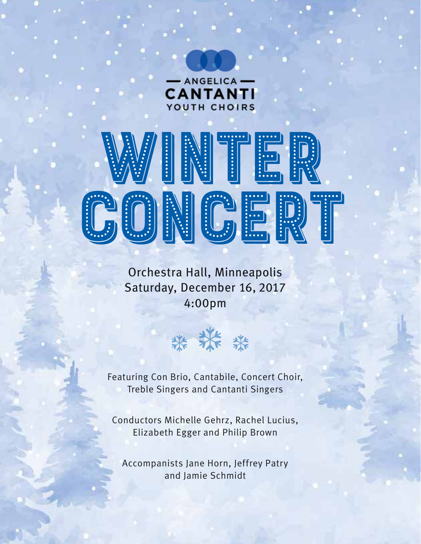



Orchestra Hall, Minneapolis Saturday, December 16, 2017 4:00pm



Featuring Con Brio, Cantabile, Concert Choir, Treble Singers and Cantanti Singers

Conductors Michelle Gehrz, Rachel Lucius, Elizabeth Egger and Philip Brown

Accompanists Jane Horn, Jeffrey Patry and Jamie Schmidt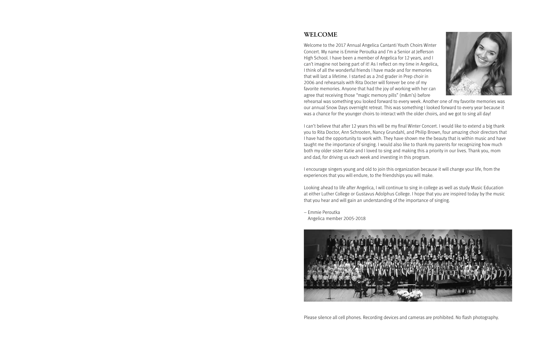# **WELCOME**

Welcome to the 2017 Annual Angelica Cantanti Youth Choirs Winter Concert. My name is Emmie Peroutka and I'm a Senior at Jefferson High School. I have been a member of Angelica for 12 years, and I can't imagine not being part of it! As I reflect on my time in Angelica, I think of all the wonderful friends I have made and for memories that will last a lifetime. I started as a 2nd grader in Prep choir in 2006 and rehearsals with Rita Docter will forever be one of my favorite memories. Anyone that had the joy of working with her can agree that receiving those "magic memory pills" (m&m's) before rehearsal was something you looked forward to every week. Another one of my favorite memories was our annual Snow Days overnight retreat. This was something I looked forward to every year because it was a chance for the younger choirs to interact with the older choirs, and we got to sing all day!

I can't believe that after 12 years this will be my final Winter Concert. I would like to extend a big thank you to Rita Doctor, Ann Schrooten, Nancy Grundahl, and Philip Brown, four amazing choir directors that I have had the opportunity to work with. They have shown me the beauty that is within music and have taught me the importance of singing. I would also like to thank my parents for recognizing how much both my older sister Katie and I loved to sing and making this a priority in our lives. Thank you, mom and dad, for driving us each week and investing in this program.

I encourage singers young and old to join this organization because it will change your life, from the experiences that you will endure, to the friendships you will make.

Looking ahead to life after Angelica, I will continue to sing in college as well as study Music Education at either Luther College or Gustavus Adolphus College. I hope that you are inspired today by the music that you hear and will gain an understanding of the importance of singing.

– Emmie Peroutka Angelica member 2005-2018



Please silence all cell phones. Recording devices and cameras are prohibited. No flash photography.

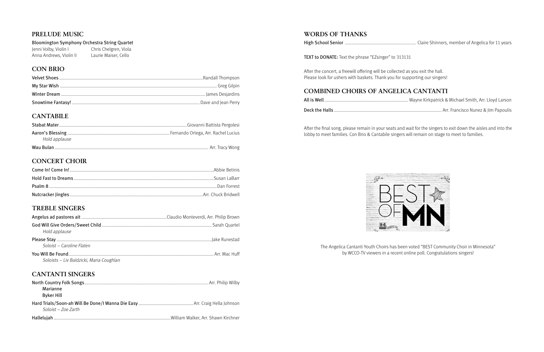# **WORDS OF THANKS**

High School Senior .................................................................. Claire Shinners, member of Angelica for 11 years

TEXT to DONATE: Text the phrase "EZsinger" to 313131

After the concert, a freewill offering will be collected as you exit the hall. Please look for ushers with baskets. Thank you for supporting our singers!

# **COMBINED CHOIRS OF ANGELICA CANTANTI**

| $\Delta$ )eck the Halls are controlled by $\Delta$ |  |  |
|----------------------------------------------------|--|--|

All is Well .............................................................................. Wayne Kirkpatrick & Michael Smith, Arr. Lloyd Larson

Bloomington Symphony Orchestra String Quartet Jenni Volby, Violin I Chris Chelgren, Viola Anna Andrews, Violin II Laurie Maiser, Cello

Deck the Halls .................................................................................................... Arr. Francisco Nunez & Jim Papoulis

After the final song, please remain in your seats and wait for the singers to exit down the aisles and into the lobby to meet families. Con Brio & Cantabile singers will remain on stage to meet to families.



The Angelica Cantanti Youth Choirs has been voted "BEST Community Choir in Minnesota" by WCCO-TV viewers in a recent online poll. Congratulations singers!

# **PRELUDE MUSIC**

# **CON BRIO**

# **CANTABILE**

| Hold applause |  |
|---------------|--|
|               |  |

# **CONCERT CHOIR**

# **TREBLE SINGERS**

| Hold applause                            |  |
|------------------------------------------|--|
| Soloist – Caroline Flaten                |  |
|                                          |  |
| Soloists - Liv Baldzicki, Maria Coughlan |  |

# **CANTANTI SINGERS**

| Marianne            |  |
|---------------------|--|
| <b>Byker Hill</b>   |  |
| Soloist – Zoe Zarth |  |
|                     |  |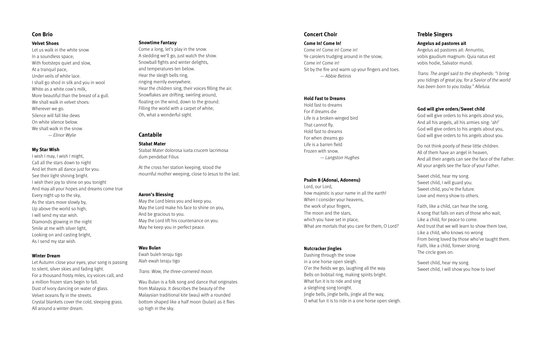# **Con Brio**

# **Velvet Shoes**

Let us walk in the white snow In a soundless space; With footsteps quiet and slow, At a tranquil pace, Under veils of white lace. I shall go shod in silk and you in wool White as a white cow's milk, More beautiful than the breast of a gull. We shall walk in velvet shoes: Wherever we go. Silence will fall like dews On white silence below. We shall walk in the snow. — Elinor Wylie

# **My Star Wish**

I wish I may, I wish I might, Call all the stars down to night And let them all dance just for you. See their light shining bright. I wish their joy to shine on you tonight And may all your hopes and dreams come true Every night up to the sky, As the stars move slowly by, Up above the world so high, I will send my star wish. Diamonds glowing in the night Smile at me with silver light, Looking on and casting bright, As I send my star wish.

# **Winter Dream**

Let Autumn close your eyes; your song is passing to silent, silver skies and fading light. For a thousand frosty miles, icy voices call, and a million frozen stars begin to fall. Dust of ivory dancing on water of glass. Velvet oceans fly in the streets. Crystal blankets cover the cold, sleeping grass. All around a winter dream.

# **Snowtime Fantasy**

Come a long, let's play in the snow. A sledding we'll go, just watch the show. Snowball fights and winter delights, and temperatures ten below. Hear the sleigh bells ring, ringing merrily everywhere. Hear the children sing, their voices filling the air. Snowflakes are drifting, swirling around, floating on the wind, down to the ground. Filling the world with a carpet of white; Oh, what a wonderful sight.

# **Cantabile**

# **Stabat Mater**

Stabat Mater dolorosa iuxta crucem lacrimosa dum pendebat Filius

At the cross her station keeping, stood the mournful mother weeping, close to Jesus to the last.

# **Aaron's Blessing**

May the Lord bless you and keep you. May the Lord make his face to shine on you, And be gracious to you. May the Lord lift his countenance on you. May he keep you in perfect peace.

# **Wau Bulan**

Ewah buleh teraju tigo Alah ewah teraju tigo

Trans: Wow, the three-cornered moon.

Wau Bulan is a folk song and dance that originates from Malaysia. It describes the beauty of the Malaysian traditional kite (wau) with a rounded bottom shaped like a half moon (bulan) as it flies up high in the sky.

# **Concert Choir**

# **Come In! Come In!**

Come in! Come in! Come in! Ye carolers trudging around in the snow, Come in! Come in! Sit by the fire and warm up your fingers and toes. — Abbie Betinis

## **Hold Fast to Dreams**

Hold fast to dreams For if dreams die Life is a broken-winged bird That cannot fly. Hold fast to dreams For when dreams go Life is a barren field Frozen with snow. — Langston Hughes

## **Psalm 8 (Adonai, Adonenu)**

Lord, our Lord, how majestic is your name in all the earth! When I consider your heavens, the work of your fingers, The moon and the stars, which you have set in place, What are mortals that you care for them, O Lord?

# **Nutcracker Jingles**

Dashing through the snow in a one horse open sleigh. O'er the fields we go, laughing all the way. Bells on bobtail ring, making spirits bright. What fun it is to ride and sing a sleighing song tonight. Jingle bells, jingle bells, jingle all the way, O what fun it is to ride in a one horse open sleigh.

# **Treble Singers**

# **Angelus ad pastores ait**

Angelus ad pastores ait: Annuntio, vobis gaudium magnum: Quia natus est vobis hodie, Salvator mundi.

Trans: The angel said to the shepherds: "I bring you tidings of great joy, for a Savior of the world has been born to you today." Alleluia.

# **God will give orders/Sweet child**

God will give orders to his angels about you, And all his angels, all his armies sing: 'ah!' God will give orders to his angels about you, God will give orders to his angels about you.

Do not think poorly of these little children. All of them have an angel in heaven, And all their angels can see the face of the Father. All your angels see the face of your Father.

Sweet child, hear my song. Sweet child, I will guard you. Sweet child, you're the future. Love and mercy show to others.

Faith, like a child, can hear the song, A song that falls on ears of those who wait, Like a child, for peace to come. And trust that we will learn to show them love, Like a child, who knows no wrong From being loved by those who've taught them. Faith, like a child, forever strong. The circle goes on.

Sweet child, hear my song. Sweet child, I will show you how to love!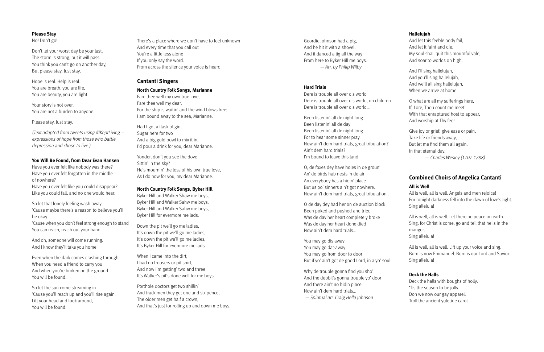# **Please Stay**

No! Don't go!

Don't let your worst day be your last. The storm is strong, but it will pass. You think you can't go on another day, But please stay. Just stay.

Hope is real. Help is real. You are breath, you are life, You are beauty, you are light.

Your story is not over. You are not a burden to anyone.

Please stay. Just stay.

(Text adapted from tweets using #IKeptLiving – expressions of hope from those who battle depression and chose to live.)

# **You Will Be Found, from Dear Evan Hansen**

Have you ever felt like nobody was there? Have you ever felt forgotten in the middle of nowhere?

Have you ever felt like you could disappear? Like you could fall, and no one would hear.

So let that lonely feeling wash away 'Cause maybe there's a reason to believe you'll be okay

'Cause when you don't feel strong enough to stand You can reach, reach out your hand.

And oh, someone will come running. And I know they'll take you home

Even when the dark comes crashing through, When you need a friend to carry you And when you're broken on the ground You will be found.

So let the sun come streaming in 'Cause you'll reach up and you'll rise again. Lift your head and look around, You will be found.

There's a place where we don't have to feel unknown And every time that you call out You're a little less alone If you only say the word. From across the silence your voice is heard.

# **Cantanti Singers**

## **North Country Folk Songs, Marianne**

Fare thee well my own true love, Fare thee well my dear, For the ship is waitin' and the wind blows free; I am bound away to the sea, Marianne.

Had I got a flask of gin, Sugar here for two And a big gold bowl to mix it in, I'd pour a drink for you, dear Marianne.

Yonder, don't you see the dove Sittin' in the sky? He's mournin' the loss of his own true love, As I do now for you, my dear Marianne.

# **North Country Folk Songs, Byker Hill**

Byker Hill and Walker Shaw me boys, Byker Hill and Walker Sahw me boys, Byker Hill and Walker Sahw me boys, Byker Hill for evermore me lads.

Down the pit we'll go me ladies, It's down the pit we'll go me ladies, It's down the pit we'll go me ladies, It's Byker Hill for evermore me lads.

When I came into the dirt, I had no trousers or pit shirt, And now I'm getting' two and three It's Walker's pit's done well for me boys.

Porthole doctors get two shillin' And track men they get one and six pence, The older men get half a crown, And that's just for rolling up and down me boys. Geordie Johnson had a pig, And he hit it with a shovel. And it danced a jig all the way From here to Byker Hill me boys. — Arr. by Philip Wilby

# **Hard Trials**

Dere is trouble all over dis world Dere is trouble all over dis world, oh children Dere is trouble all over dis world…

Been listenin' all de night long Been listenin' all de day Been listenin' all de night long For to hear some sinner pray Now ain't dem hard trials, great tribulation? Ain't dem hard trials? I'm bound to leave this land

O, de foxes dey have holes in de groun' An' de birds hab nests in de air An everybody has a hidin' place But us po' sinners ain't got nowhere. Now ain't dem hard trials, great tribulation…

O de day dey had her on de auction block Been poked and pushed and tried Was de day her heart completely broke Was de day her heart done died Now ain't dem hard trials…

You may go dis away You may go dat-away You may go from door to door But if yo' ain't got de good Lord, in a yo' soul

Why de trouble gonna find you sho' And the debbil's gonna trouble yo' door And there ain't no hidin place Now ain't dem hard trials… — Spiritual arr. Craig Hella Johnson

# **Hallelujah**

And let this feeble body fail, And let it faint and die; My soul shall quit this mournful vale, And soar to worlds on high.

And I'll sing hallelujah, And you'll sing hallelujah, And we'll all sing hallelujah, When we arrive at home.

O what are all my sufferings here, If, Lore, Thou count me meet With that enraptured host to appear, And worship at Thy fee!

Give joy or grief, give ease or pain, Take life or friends away, But let me find them all again, In that eternal day. — Charles Wesley (1707-1788)

# **Combined Choirs of Angelica Cantanti**

# **All is Well**

All is well, all is well. Angels and men rejoice! For tonight darkness fell into the dawn of love's light. Sing alleluia!

All is well, all is well. Let there be peace on earth. Sing, for Christ is come, go and tell that he is in the manger. Sing alleluia!

All is well, all is well. Lift up your voice and sing. Born is now Emmanuel. Born is our Lord and Savior. Sing alleluia!

# **Deck the Halls**

Deck the halls with boughs of holly. 'Tis the season to be jolly. Don we now our gay apparel. Troll the ancient yuletide carol.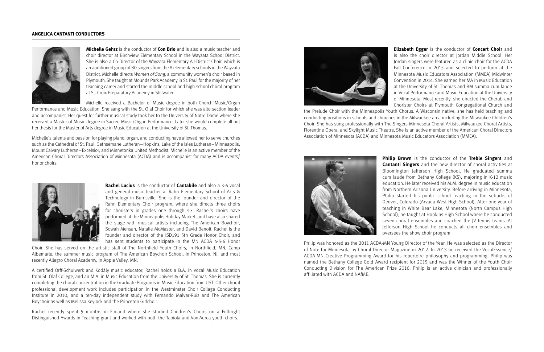**Michelle Gehrz** is the conductor of **Con Brio** and is also a music teacher and choir director at Birchview Elementary School in the Wayzata School District. She is also a Co-Director of the Wayzata Elementary All-District Choir, which is an auditioned group of 80 singers from the 8 elementary schools in the Wayzata District. Michelle directs Women of Song, a community women's choir based in Plymouth. She taught at Mounds Park Academy in St. Paul for the majority of her teaching career and started the middle school and high school choral program at St. Croix Preparatory Academy in Stillwater.

Michelle received a Bachelor of Music degree in both Church Music/Organ

Performance and Music Education. She sang with the St. Olaf Choir for which she was alto section leader and accompanist. Her quest for further musical study took her to the University of Notre Dame where she received a Master of Music degree in Sacred Music/Organ Performance. Later she would complete all but her thesis for the Master of Arts degree in Music Education at the University of St. Thomas.

Michelle's talents and passion for playing piano, organ, and conducting have allowed her to serve churches such as the Cathedral of St. Paul, Gethsemane Lutheran–Hopkins, Lake of the Isles Lutheran–Minneapolis, Mount Calvary Lutheran–Excelsior, and Minnetonka United Methodist. Michelle is an active member of the American Choral Directors Association of Minnesota (ACDA) and is accompanist for many ACDA events/ honor choirs.



**Rachel Lucius** is the conductor of **Cantabile** and also a K-6 vocal and general music teacher at Rahn Elementary School of Arts & Technology in Burnsville. She is the founder and director of the Rahn Elementary Choir program, where she directs three choirs for choristers in grades one through six. Rachel's choirs have performed at the Minneapolis Holiday Market, and have also shared the stage with musical artists including The American Boychoir, Sowah Mensah, Natalie McMaster, and David Benoit. Rachel is the founder and director of the ISD191 5th Grade Honor Choir, and has sent students to participate in the MN ACDA 4-5-6 Honor

Choir. She has served on the artistic staff of The Northfield Youth Choirs, in Northfield, MN, Camp Albemarle, the summer music program of The American Boychoir School, in Princeton, NJ, and most recently Allegro Choral Academy, in Apple Valley, MN.

A certified Orff-Schulwerk and Kodály music educator, Rachel holds a B.A. in Vocal Music Education from St. Olaf College, and an M.A. in Music Education from the University of St. Thomas. She is currently completing the choral concentration in the Graduate Programs in Music Education from UST. Other choral professional development work includes participation in the Westminster Choir Collage Conducting Institute in 2010, and a ten-day independent study with Fernando Malvar-Ruiz and The American Boychoir as well as Melissa Keylock and the Princeton Girlchoir.

Rachel recently spent 5 months in Finland where she studied Children's Choirs on a Fulbright Distinguished Awards in Teaching grant and worked with both the Tapiola and Vox Aurea youth choirs.



**Philip Brown** is the conductor of the **Treble Singers** and **Cantanti Singers** and the new director of choral activities at Bloomington Jefferson High School. He graduated summa cum laude from Bethany College (KS), majoring in K-12 music education. He later received his M.M. degree in music education from Northern Arizona University. Before arriving in Minnesota, Philip started his public school teaching in the suburbs of Denver, Colorado (Arvada West High School). After one year of teaching in White Bear Lake, Minnesota (North Campus High School), he taught at Hopkins High School where he conducted seven choral ensembles and coached the JV tennis teams. At Jefferson High School he conducts all choir ensembles and oversees the show choir program.

Philip was honored as the 2011 ACDA-MN Young Director of the Year. He was selected as the Director of Note for Minnesota by Choral Director Magazine in 2012. In 2013 he received the VocalEssence/ ACDA-MN Creative Programming Award for his repertoire philosophy and programming. Philip was named the Bethany College Gold Award recipient for 2015 and was the Winner of the Youth Choir Conducting Division for The American Prize 2016. Philip is an active clinician and professionally affiliated with ACDA and NAfME.

#### **ANGELICA CANTANTI CONDUCTORS**



**Elizabeth Egger** is the conductor of **Concert Choir** and is also the choir director at Jordan Middle School. Her Jordan singers were featured as a clinic choir for the ACDA Fall Conference in 2015 and selected to perform at the Minnesota Music Educators Association (MMEA) Midwinter Convention in 2014. She earned her MA in Music Education at the University of St. Thomas and BM summa cum laude in Vocal Performance and Music Education at the University of Minnesota. Most recently, she directed the Cherub and Chorister Choirs at Plymouth Congregational Church and the Prelude Choir with the Minneapolis Youth Chorus. A Wisconsin native, she has held teaching and conducting positions in schools and churches in the Milwaukee area including the Milwaukee Children's Choir. She has sung professionally with The Singers-Minnesota Choral Artists, Milwaukee Choral Artists, Florentine Opera, and Skylight Music Theatre. She is an active member of the American Choral Directors Association of Minnesota (ACDA) and Minnesota Music Educators Association (MMEA).

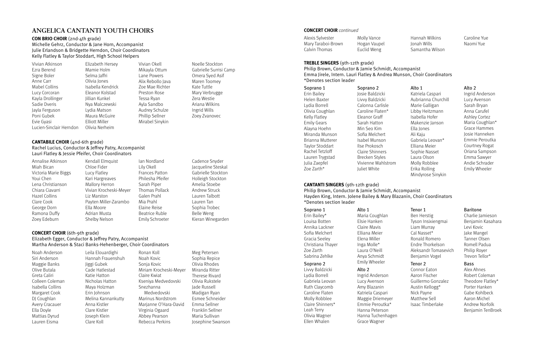# **ANGELICA CANTANTI YOUTH CHOIRS**

#### **CON BRIO CHOIR** (2nd-4th grade)

Michelle Gehrz, Conductor & Jane Horn, Accompanist Julie Erlandson & Bridgette Herndon, Choir Coordinators Kelly Flatley & Taylor Stoddart, High School Helpers

| Vivian Atkinson         | Eli  |
|-------------------------|------|
| Ezra Berend             | M.   |
| Signe Boler             | Se   |
| Anne Carr               | Οl   |
| <b>Mabel Collins</b>    | lsa  |
| Lucy Corcoran           | Eŀ   |
| Kayla Drollinger        | Jill |
| Sadie Dveris            | N١   |
| Jayla Ferguson          | Ly   |
| Poni Gubek              | M.   |
| Evie Gyasi              | Ell  |
| Lucien-Sinclair Herndon | Οl   |

lizabeth Hersey lamie Holm elma Jaffri livia Iones abella Kendrick leanor Kolstad lian Kunkel va Malczewski dia Matson laura McGuire Elliott Miller livia Nerheim

Vivian Okell Mikayla Ottum Lane Powers Alix Rebollo Java Zoe Mae Richter Preston Rose Tessa Ryan Ayla Sandbo Audrey Schulze Phillip Sellner Mirabel Sinykin

Noelle Stockton Gabrielle Surrisi Camp Omera Syed Asif Maren Toomey Kate Tuttle

Mary Verbrugge Zera Westie Ariana Wilkins Ingrid Wills Zoey Zvanovec

## **CANTABILE CHOIR** (4nd-6th grade) Rachel Lucius, Conductor & Jeffrey Patry, Accompanist Lauri Flatley & Jessie Pfeifer, Choir Coordinators

Annalise Atkinson Miah Bican Victoria Marie Biggs Youi Chen Lena Christianson Chiara Ciavarri Hazel Collins Clare Cook George Dorn Ramona Duffy Zoey Edeburn

Kendall Elmquist Chloe Fider Lucy Flatley Kari Hargreaves Mallory Herron Vivian Krocheski-Meyer Liz Marston Payten Miller-Zarambo Ella Moore Adrian Musta Shelby Nelson

Ian Nordland Lily Okell Frances Patton Philesha Pfeifer Sarah Piper Thomas Pollack Galen Prahl Mia Prahl Elaine Reise Beatrice Ruble Emily Schroeter

Cadence Snyder Jacqueline Steskal Gabrielle Stockton Holleigh Stockton Amelia Stoebe Andrew Struck Lauren Talbott Lauren Tan Sophia Trobec Belle Weng Kieran Winegarden

# **CONCERT CHOIR** (6th-9th grade) Elizabeth Egger, Conductor & Jeffrey Patry, Accompanist Martha Anderson & Staci Banks-Hehenberger, Choir Coordinators

Noah Anderson Siri Anderson Maggie Banks Olive Butala Greta Caliri Colleen Coleman Isabella Collins Margaret Cook DJ Coughlan Avery Cracauer Ella Doyle Mattias Dyrud Lauren Eisma

Leila Elouardighi Hannah Frauenshuh Jiggi Gubek Cade Hatlestad Katie Hatton Nicholas Hatton Maya Holzman Erin Johnson Melina Kannankutty Anna Kistler Clare Kistler Joseph Klein Clare Koll

Ronan Koll Noah Kovic Sonja Kovic Miriam Krocheski-Meyer Claire Kwiat Kseniya Medvedovski Snezhanna Medvedovski Marinus Nordstrom Marjanne O'Hara-David Virginia Ogaard Abbey Pearson Rebecca Perkins

Meg Petersen Sophia Repice Olivia Rhodes Miranda Ritter Therese Rivard Olivia Rukstele Jade Russell Madigan Ryan Esmee Schneider Emma Sellner Franklin Sellner Maria Sullivan Josephine Swanson

#### **TREBLE SINGERS** (9th-12th grade)

Philip Brown, Conductor & Jamie Schmidt, Accompanist Emma Jirele, Intern. Lauri Flatley & Andrea Munson, Choir Coordinators \*Denotes section leader

# Soprano 1 Erin Bailey Helen Baxter Lydia Borrell Olivia Coughlan Kelly Flatley Emily Gears Alayna Hoehn Miranda Munson Brianna Mutterer Taylor Stoddart Rachel Tetzloff Lauren Trygstad Julia Zaepfel Zoe Zarth\*

Soprano 2

Josie Baldzicki Livvy Baldzicki Calonna Carlisle Caroline Flaten\* Eleanor Graff Sarah Hatton Min Seo Kim Sofia Melchert Isabel Munson Ilse Prokosch Claire Shinners Brecken Styles Vivienne Wahlstrom

Juliet White

# Alto 1

Katriela Caspari Aubrianna Churchill Marie Galligan Libby Heitzmann Isabella Hofer Makenzie Janson Ella Jones Ali Kaju Gabriela Leovan\* Elliana Meier Sophie Nasset Laura Olson Molly Robblee Erika Rolling Mindyrose Sinykin

#### Alto 2

Ingrid Anderson Lucy Avenson Sarah Bryan Anna Carufel Ashley Cortez Maria Coughlan\* Grace Hammes Josie Hanneken Emmie Peroutka Courtney Rogat Oriana Sampson Emma Sawyer Andie Schrader Emily Wheeler

**CANTANTI SINGERS** (9th-12th grade) Philip Brown, Conductor & Jamie Schmidt, Accompanist Hayden King, Intern. Jolene Bailey & Mary Blazanin, Choir Coordinators

\*Denotes section leader

# Soprano 1 Erin Bailey\* Louisa Botten Annika Lackner Sofia Melchert Gracia Seeley Christiana Thayer Zoe Zarth Sabrina Zehlke

# Soprano 2 Livvy Baldzicki Lydia Borrell Gabriela Leovan Ruth Claycomb Caroline Flaten Molly Robblee Claire Shinners\* Leah Terry Olivia Wagner Ellen Whalen

Alto 1

Maria Coughlan

Elsie Hanken Claire Mavis Elliana Meier Elena Miller Inga Molle\* Laura O'Neill Anya Schmidt Emily Wheeler

Alto 2 Ingrid Anderson Lucy Avenson Amy Blazanin Katriela Caspari Maggie Driemeyer Emmie Peroutka\* Hanna Peterson Hanna Tuchenhagen Grace Wagner

# Tenor 1

Ben Herstig Tyson Insixiengmai Liam Murray Cal Nasset\* Ronald Romero Endre Thorkelson Aleksandr Tomasevich Benjamin Vogel

## Tenor 2

Connor Eaton Aaron Fischer Guillermo Gonzalez Austin Kellogg\* Nick Payne Matthew Sell Isaac Timberlake

# Baritone

Charlie Jamieson Benjamin Kasahara Levi Kovic Jake Mangel Tanner Olsen Romell Padua Philip Royer Trevon Tellor\*

# Bass

Alex Ahnes Robert Coleman Theodore Flatley\* Porter Hanken Gabe Kohlbeck Aaron Michel Andrew Norfolk Benjamin TenBroek

#### **CONCERT CHOIR** continued

Alexis Sylvester Mary Taraboi-Brown Calvin Thomas

Molly Vance Hogan Vaupel Euclid Weng

Hannah Wilkins Jonah Wills Samantha Wilson Caroline Yue Naomi Yue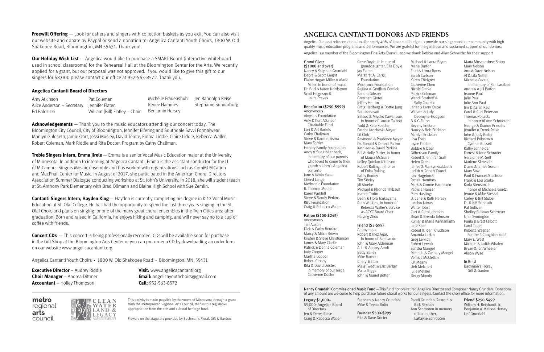**Freewill Offering** — Look for ushers and singers with collection baskets as you exit. You can also visit our website and donate by Paypal or send a donation to: Angelica Cantanti Youth Choirs, 1800 W. Old Shakopee Road, Bloomington, MN 55431. Thank you!

**Our Holiday Wish List** — Angelica would like to purchase a SMART Board (interactive whiteboard used in school classrooms) for the Rehearsal Hall at the Bloomington Center for the Arts. We recently applied for a grant, but our proposal was not approved. If you would like to give this gift to our singers for \$8,000 please contact our office at 952-563-8572. Thank you.

> This activity is made possible by the voters of Minnesota through a grant from the Metropolitan Regional Arts Council, thanks to a legislative appropriation from the arts and cultural heritage fund.

# **ANGELICA CANTANTI DONORS AND FRIENDS**

Angelica Cantanti relies on donations for nearly 40% of its annual budget to provide our singers and our community with high quality music education programs and performances. We are grateful for the generous and sustained support of our donors.

Michael Bryann Bryann Bryann Bryann Bryann Bryann Bryann Bryann Bryann Bryann Bryann Bryann Bryann Bryann Bryann Bryann Bryann Bryann Bryann Bryann Bryann Bryann Bryann Bryann Bryann Bryann Bryann Bryann Bryann Bryann Brya

Angelica is a member of the Bloomington Fine Arts Council, and we thank Debbie and Allan Schneider for their support

Grand Giver (\$1000 and over) Nancy & Stephen Grundahl Debra & Scott Knight Elaine Hogan Miller & Marlo Miller, In honor of music Dr. Bud & Karen Nordstrom Scott Helgeson & Laura Preves

#### Benefactor (\$250-\$999)

Anonymous Aloysius Foundation Amy & Kurt Atkinson Charitable Fund Lori & Art Bartels Cathy Challman Steve & Karmin Eisma Mary Fortier Hendry Family Foundation Andy & Sue Hollenbeck, In memory of our parents who loved to come to their grandchildren's Angelica concerts Jane & Kevin Kalal Cheryl Lange Medtronic Foundation R. Thomas Mould Karen Parkhill Steve & Sandy Perkins RBC Foundation Craig & Rebecca Waller

#### Patron (\$100-\$249) Anonymous

Teri Austin Dick & Cathy Bernard Marcy & Mitch Brown Kristen & Steve Christianson James & Mary Clarke Patrick & Donna Coleman Judy Cooper Martha Cooper Robert Crosby Rita & David Docter, In memory of our niece Catherine Docter

Gene Doyle, In honor of

**Cantanti Singers Intern, Hayden King** — Hayden is currently completing his degree in K-12 Vocal Music Education at St. Olaf College. He has had the opportunity to spend the last three years singing in the St. Olaf Choir, and plans on singing for one of the many great choral ensembles in the Twin Cities area after graduation. Born and raised in California, he enjoys hiking and camping, and will never say no to a cup of coffee with friends.

**Concert CDs** — This concert is being professionally recorded. CDs will be available soon for purchase in the Gift Shop at the Bloomington Arts Center or you can pre-order a CD by downloading an order form on our website www.angelicacantanti.org.

**Executive Director** – Audrey Riddle **Visit:** www.angelicacantanti.org **Accountant** – Holley Thompson **Call:** 952-563-8572

**Choir Manager** – Andrea Dittmer **Email:** angelicayouthchoirs@gmail.com





| Gene Doyle, In honor of       | Michael & Laura Bryan     | Maria Moseandrew-Shipp     |
|-------------------------------|---------------------------|----------------------------|
| granddaughter, Ella Doyle     | Marie Burton              | Mary Nelson                |
| Jay Flaten                    | Fred & Lorna Byers        | Ann & Dave Nelson          |
| Margaret A. Cargill           | Sarah Carlson             | Al & Lila Netten           |
| Foundation                    | Karen Chelgren            | Michelle Padua,            |
| <b>Medtronic Foundation</b>   | Catherine Chen            | In memory of Ken Larabee   |
| Regina & Geoffrey Getnick     | Nicole Clarke             | Andrew & Jill Patton       |
| Sandra Gibson                 | Patrick Coleman           | Jeanne Paul                |
| Gretchen Ginter               | Wendi Storhoff &          | Julie Paul                 |
| Jeffrey Hatton                | Sally Costello            | Julie Ann Paul             |
| Craig Hedberg & Dottie Jung   | Janet & Larry Cruse       | lim & Karen Paul           |
| Sara Kanavati                 | William & Judy            | Carol & Curt Peterson      |
| Setsuo & Miyoko Kawanoue,     | Debruyne-Hodgson          | Thomas Pollack.            |
| In honor of Lauren Talbott    | B & G Eaton               | In honor of Ann Schrooten  |
| Todd & Kate Koester           | Beverly Erickson          | George & Dianne Prieditis  |
| Patrice Krocheski-Meyer       | Nancy & Bob Erickson      | Jennifer & Derek Reise     |
| Lit Club                      | Marilyn Erickson          | John & Judy Reiter         |
| Raymond & Prudence Meyer      | Lisa Ervin                | Richard Pribnow &          |
| Dr. Ronald & Donna Patton     | Joyce Fiedler             | Cynthia Russell            |
| Kathleen & David Perkins      | Bobbie Gibson             | Kathy Schneider            |
| Bill & Holly Porter, In honor | Gilbertson Family         | Forrest & Jone Schrader    |
| of Maura McGuire              | Robert & Jennifer Graff   | Geraldine M. Sell          |
| Kelley Quinlan-Kittleson      | Helen Grant               | Marlene Skrivseth          |
| Robert Rolling, In honor      | James & Marilyn Guldseth  | Diane & James Sorum        |
| of Erika Rolling              | Judith & Robert Gyurci    | Mary Sowl                  |
| Kathy Romey                   | Joni Hagebock             | Paul & Frances Stachour    |
| Tim Seeley                    | Renee Hammes              | Frank & Lou Starke         |
| <b>Iill Stoebe</b>            | Mark & Connie Hanneken    | Karla Stenson. In          |
| Michael & Rhonda Thibault     | Patricia Hansen           | honor of Michaela Goetz    |
| Joanne Torfin                 | Pam Hastings              | Jennie & Mike Steskal      |
| Dean & Flora Tsukayama        | D. Lane & Ruth Hersey     | Carley & Bill Stuber       |
| Ruth Watkins, In honor of     | Jocelyn Jaimez            | DL & KM Sudduth            |
| Rebecca Waller's service      | Walter lobst              | Pat Sullivan               |
| as ACYC Board Chair           | Curt & Carol Johnson      | Shelley Sullivan Schroeter |
| Haiying Zhou                  | Brian & Brenda Johnson    | Unni Symington             |
|                               | Kumar & Maria Kannankutty | Paula & Brett Talbott      |
| Friend (\$5-\$99)             | Jane Klein                | Carol Tauer                |
| Anonymous                     | Robert & Joan Knudtson    | Roberta Wagner,            |
| Robert & Inez Agar,           | Amanda Larkin             | For the 3 Coughlan kids!   |
| In honor of Ben Larkin        | Greg Lervick              | Mary E. West               |
| John & Mary Alderman          | Robert Lervick            | Michael & Judith Whalen    |
| A. L. & Audrey Arndt          | Sandra Mangel             | Bryan & Jeri Wheeler       |
| <b>Betty Bailey</b>           | Melinda & Zachary Mangel  |                            |
| Mike Barnett                  | Vernice McClellan         | Alison Wyse                |
| Cheryl Battin                 | F.P. Meany                | In Kind                    |
| Maia Twedt & Eric Berger      | Deb Melchert              | Bachman's Floral.          |
| Maria Biggs                   |                           | Gift & Garden              |
| John & Muriel Botten          | Julie Metzler             |                            |
|                               | Becky Moody               |                            |

#### **Angelica Cantanti Board of Directors**

Amy Atkinson Alice Anderson – Secretary Ed Baldzicki Pat Coleman Jennifer Flaten William (Bill) Flatley – Chair Michelle Frauenshuh Renee Hammes Benjamin Hersey Jen Randolph Reise Stephanie Sunnarborg

**Acknowledgements** — Thank you to the music educators attending our concert today, The Bloomington City Council, City of Bloomington, Jennifer Elfering and Southdale Savvi Formalwear, Marilyn Guldseth, Jamie Ohrt, Jessi Mosley, David Temte, Emma Liddle, Claire Liddle, Rebecca Waller, Robert Coleman, Mark Riddle and Rita Docter. Program by Cathy Challman.

**Treble Singers Intern, Emma Jirele** — Emma is a senior Vocal Music Education major at the University of Minnesota. In addition to interning at Angelica Cantanti, Emma is the assistant conductor for the U of M Campus Singers Mosaic ensemble and has worked with organizations such as ComMUSICation and MacPhail Center for Music. In August of 2017, she participated in the American Choral Directors Association Summer Dialogue conducting workshop at St. John's University. In 2018, she will student teach at St. Anthony Park Elementary with Brad Ollmann and Blaine High School with Sue Zemlin.

Angelica Cantanti Youth Choirs • 1800 W. Old Shakopee Road • Bloomington, MN 55431

Flowers on the stage are provided by Bachman's Floral, Gift & Garden.

Nancy Grundahl Commissioned Music Fund —This fund honors retired Angelica Director and Composer Nancy Grundahl. Donations of any amount are welcome to help purchase future choral works for our singers. Contact the choir office for more information.

Legacy \$1,000+ \$5,000- Angelica Board of Directors Jen & Derek Reise Craig & Rebecca Waller

Stephen & Nancy Grundahl Mike & Teena Bolin

Founder \$500-\$999 Rita & Dave Docter

Randi Grundahl Rexroth & Rick Rexroth Ann Schrooten in memory of her mother, LaRayne Schrooten

Friend \$250-\$499 William H. Reinhardt, Jr. Benjamin & Melissa Hersey Leif Grundahl